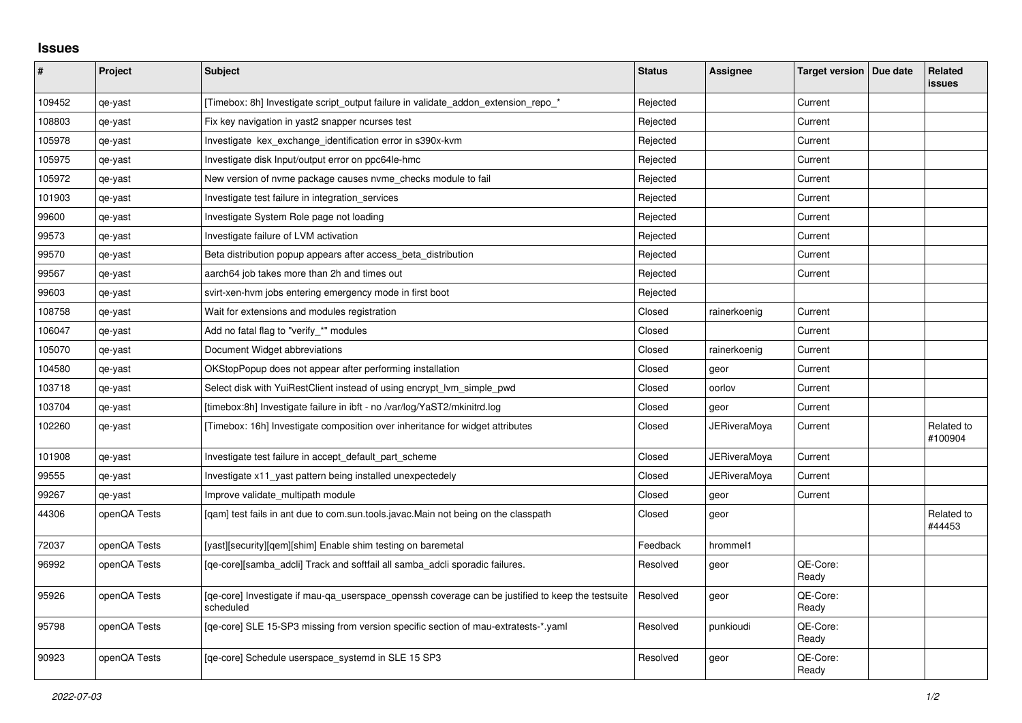## **Issues**

| ∦      | Project      | Subject                                                                                                        | <b>Status</b> | Assignee            | Target version   Due date | Related<br><b>issues</b> |
|--------|--------------|----------------------------------------------------------------------------------------------------------------|---------------|---------------------|---------------------------|--------------------------|
| 109452 | qe-yast      | [Timebox: 8h] Investigate script_output failure in validate_addon_extension_repo_*                             | Rejected      |                     | Current                   |                          |
| 108803 | qe-yast      | Fix key navigation in yast2 snapper ncurses test                                                               | Rejected      |                     | Current                   |                          |
| 105978 | qe-yast      | Investigate kex exchange identification error in s390x-kvm                                                     | Rejected      |                     | Current                   |                          |
| 105975 | qe-yast      | Investigate disk Input/output error on ppc64le-hmc                                                             | Rejected      |                     | Current                   |                          |
| 105972 | qe-yast      | New version of nyme package causes nyme checks module to fail                                                  | Rejected      |                     | Current                   |                          |
| 101903 | qe-yast      | Investigate test failure in integration services                                                               | Rejected      |                     | Current                   |                          |
| 99600  | qe-yast      | Investigate System Role page not loading                                                                       | Rejected      |                     | Current                   |                          |
| 99573  | qe-yast      | Investigate failure of LVM activation                                                                          | Rejected      |                     | Current                   |                          |
| 99570  | qe-yast      | Beta distribution popup appears after access beta distribution                                                 | Rejected      |                     | Current                   |                          |
| 99567  | qe-yast      | aarch64 job takes more than 2h and times out                                                                   | Rejected      |                     | Current                   |                          |
| 99603  | qe-yast      | svirt-xen-hvm jobs entering emergency mode in first boot                                                       | Rejected      |                     |                           |                          |
| 108758 | qe-yast      | Wait for extensions and modules registration                                                                   | Closed        | rainerkoenig        | Current                   |                          |
| 106047 | qe-yast      | Add no fatal flag to "verify_*" modules                                                                        | Closed        |                     | Current                   |                          |
| 105070 | qe-yast      | Document Widget abbreviations                                                                                  | Closed        | rainerkoenig        | Current                   |                          |
| 104580 | qe-yast      | OKStopPopup does not appear after performing installation                                                      | Closed        | geor                | Current                   |                          |
| 103718 | qe-yast      | Select disk with YuiRestClient instead of using encrypt_lvm_simple_pwd                                         | Closed        | oorlov              | Current                   |                          |
| 103704 | qe-yast      | [timebox:8h] Investigate failure in ibft - no /var/log/YaST2/mkinitrd.log                                      | Closed        | geor                | Current                   |                          |
| 102260 | qe-yast      | [Timebox: 16h] Investigate composition over inheritance for widget attributes                                  | Closed        | <b>JERiveraMoya</b> | Current                   | Related to<br>#100904    |
| 101908 | qe-yast      | Investigate test failure in accept_default_part_scheme                                                         | Closed        | <b>JERiveraMoya</b> | Current                   |                          |
| 99555  | qe-yast      | Investigate x11_yast pattern being installed unexpectedely                                                     | Closed        | <b>JERiveraMoya</b> | Current                   |                          |
| 99267  | qe-yast      | Improve validate multipath module                                                                              | Closed        | geor                | Current                   |                          |
| 44306  | openQA Tests | [qam] test fails in ant due to com.sun.tools.javac.Main not being on the classpath                             | Closed        | geor                |                           | Related to<br>#44453     |
| 72037  | openQA Tests | [yast][security][qem][shim] Enable shim testing on baremetal                                                   | Feedback      | hrommel1            |                           |                          |
| 96992  | openQA Tests | [qe-core][samba_adcli] Track and softfail all samba_adcli sporadic failures.                                   | Resolved      | geor                | QE-Core:<br>Ready         |                          |
| 95926  | openQA Tests | [qe-core] Investigate if mau-qa_userspace_openssh coverage can be justified to keep the testsuite<br>scheduled | Resolved      | geor                | QE-Core:<br>Ready         |                          |
| 95798  | openQA Tests | [qe-core] SLE 15-SP3 missing from version specific section of mau-extratests-*.yaml                            | Resolved      | punkioudi           | QE-Core:<br>Ready         |                          |
| 90923  | openQA Tests | [ge-core] Schedule userspace systemd in SLE 15 SP3                                                             | Resolved      | geor                | QE-Core:<br>Ready         |                          |